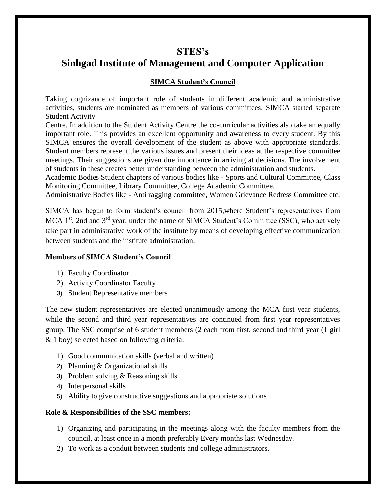## **STES's**

# **Sinhgad Institute of Management and Computer Application**

## **SIMCA Student's Council**

Taking cognizance of important role of students in different academic and administrative activities, students are nominated as members of various committees. SIMCA started separate Student Activity

Centre. In addition to the Student Activity Centre the co-curricular activities also take an equally important role. This provides an excellent opportunity and awareness to every student. By this SIMCA ensures the overall development of the student as above with appropriate standards. Student members represent the various issues and present their ideas at the respective committee meetings. Their suggestions are given due importance in arriving at decisions. The involvement of students in these creates better understanding between the administration and students.

Academic Bodies Student chapters of various bodies like - Sports and Cultural Committee, Class Monitoring Committee, Library Committee, College Academic Committee.

Administrative Bodies like - Anti ragging committee, Women Grievance Redress Committee etc.

SIMCA has begun to form student's council from 2015,where Student's representatives from MCA  $1<sup>st</sup>$ , 2nd and  $3<sup>rd</sup>$  year, under the name of SIMCA Student's Committee (SSC), who actively take part in administrative work of the institute by means of developing effective communication between students and the institute administration.

## **Members of SIMCA Student's Council**

- 1) Faculty Coordinator
- 2) Activity Coordinator Faculty
- 3) Student Representative members

The new student representatives are elected unanimously among the MCA first year students, while the second and third year representatives are continued from first year representatives group. The SSC comprise of 6 student members (2 each from first, second and third year (1 girl & 1 boy) selected based on following criteria:

- 1) Good communication skills (verbal and written)
- 2) Planning & Organizational skills
- 3) Problem solving & Reasoning skills
- 4) Interpersonal skills
- 5) Ability to give constructive suggestions and appropriate solutions

## **Role & Responsibilities of the SSC members:**

- 1) Organizing and participating in the meetings along with the faculty members from the council, at least once in a month preferably Every months last Wednesday.
- 2) To work as a conduit between students and college administrators.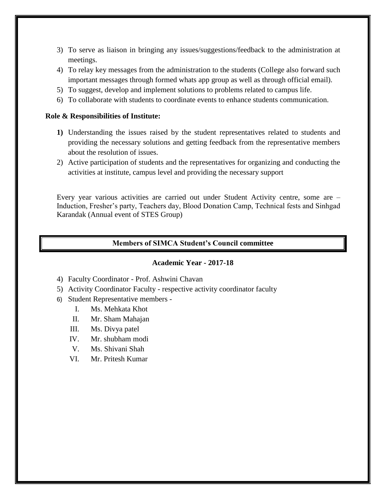- 3) To serve as liaison in bringing any issues/suggestions/feedback to the administration at meetings.
- 4) To relay key messages from the administration to the students (College also forward such important messages through formed whats app group as well as through official email).
- 5) To suggest, develop and implement solutions to problems related to campus life.
- 6) To collaborate with students to coordinate events to enhance students communication.

#### **Role & Responsibilities of Institute:**

- **1)** Understanding the issues raised by the student representatives related to students and providing the necessary solutions and getting feedback from the representative members about the resolution of issues.
- 2) Active participation of students and the representatives for organizing and conducting the activities at institute, campus level and providing the necessary support

Every year various activities are carried out under Student Activity centre, some are – Induction, Fresher's party, Teachers day, Blood Donation Camp, Technical fests and Sinhgad Karandak (Annual event of STES Group)

#### **Members of SIMCA Student's Council committee**

#### **Academic Year - 2017-18**

- 4) Faculty Coordinator Prof. Ashwini Chavan
- 5) Activity Coordinator Faculty respective activity coordinator faculty
- 6) Student Representative members
	- I. Ms. Mehkata Khot
	- II. Mr. Sham Mahajan
	- III. Ms. Divya patel
	- IV. Mr. shubham modi
	- V. Ms. Shivani Shah
	- VI. Mr. Pritesh Kumar